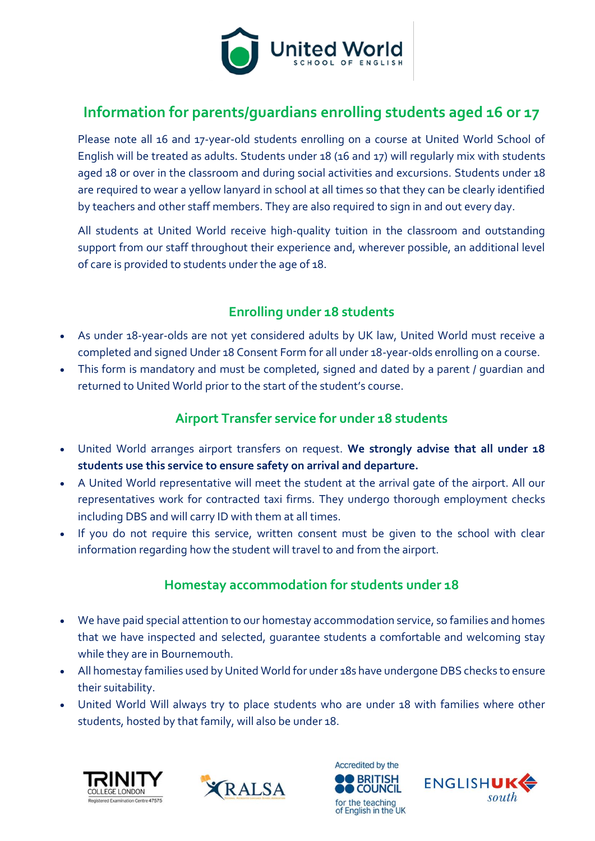

# **Information for parents/guardians enrolling students aged 16 or 17**

Please note all 16 and 17-year-old students enrolling on a course at United World School of English will be treated as adults. Students under 18 (16 and 17) will regularly mix with students aged 18 or over in the classroom and during social activities and excursions. Students under 18 are required to wear a yellow lanyard in school at all times so that they can be clearly identified by teachers and other staff members. They are also required to sign in and out every day.

All students at United World receive high-quality tuition in the classroom and outstanding support from our staff throughout their experience and, wherever possible, an additional level of care is provided to students under the age of 18.

### **Enrolling under 18 students**

- As under 18-year-olds are not yet considered adults by UK law, United World must receive a completed and signed Under 18 Consent Form for all under 18-year-olds enrolling on a course.
- This form is mandatory and must be completed, signed and dated by a parent / quardian and returned to United World prior to the start of the student's course.

#### **Airport Transfer service for under 18 students**

- United World arranges airport transfers on request. **We strongly advise that all under 18 students use this service to ensure safety on arrival and departure.**
- A United World representative will meet the student at the arrival gate of the airport. All our representatives work for contracted taxi firms. They undergo thorough employment checks including DBS and will carry ID with them at all times.
- If you do not require this service, written consent must be given to the school with clear information regarding how the student will travel to and from the airport.

#### **Homestay accommodation for students under 18**

- We have paid special attention to our homestay accommodation service, so families and homes that we have inspected and selected, guarantee students a comfortable and welcoming stay while they are in Bournemouth.
- All homestay families used by United World for under 18s have undergone DBS checks to ensure their suitability.
- United World Will always try to place students who are under 18 with families where other students, hosted by that family, will also be under 18.







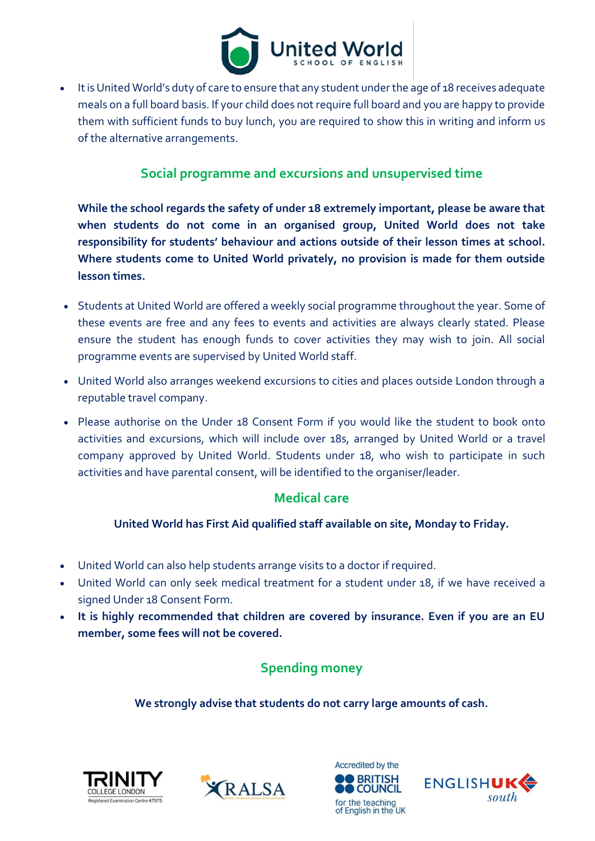

• It is United World's duty of care to ensure that any student under the age of 18 receives adequate meals on a full board basis. If your child does not require full board and you are happy to provide them with sufficient funds to buy lunch, you are required to show this in writing and inform us of the alternative arrangements.

#### **Social programme and excursions and unsupervised time**

**While the school regards the safety of under 18 extremely important, please be aware that when students do not come in an organised group, United World does not take responsibility for students' behaviour and actions outside of their lesson times at school. Where students come to United World privately, no provision is made for them outside lesson times.**

- Students at United World are offered a weekly social programme throughout the year. Some of these events are free and any fees to events and activities are always clearly stated. Please ensure the student has enough funds to cover activities they may wish to join. All social programme events are supervised by United World staff.
- United World also arranges weekend excursions to cities and places outside London through a reputable travel company.
- Please authorise on the Under 18 Consent Form if you would like the student to book onto activities and excursions, which will include over 18s, arranged by United World or a travel company approved by United World. Students under 18, who wish to participate in such activities and have parental consent, will be identified to the organiser/leader.

#### **Medical care**

#### **United World has First Aid qualified staff available on site, Monday to Friday.**

- United World can also help students arrange visits to a doctor if required.
- United World can only seek medical treatment for a student under 18, if we have received a signed Under 18 Consent Form.
- **It is highly recommended that children are covered by insurance. Even if you are an EU member, some fees will not be covered.**

### **Spending money**

**We strongly advise that students do not carry large amounts of cash.**